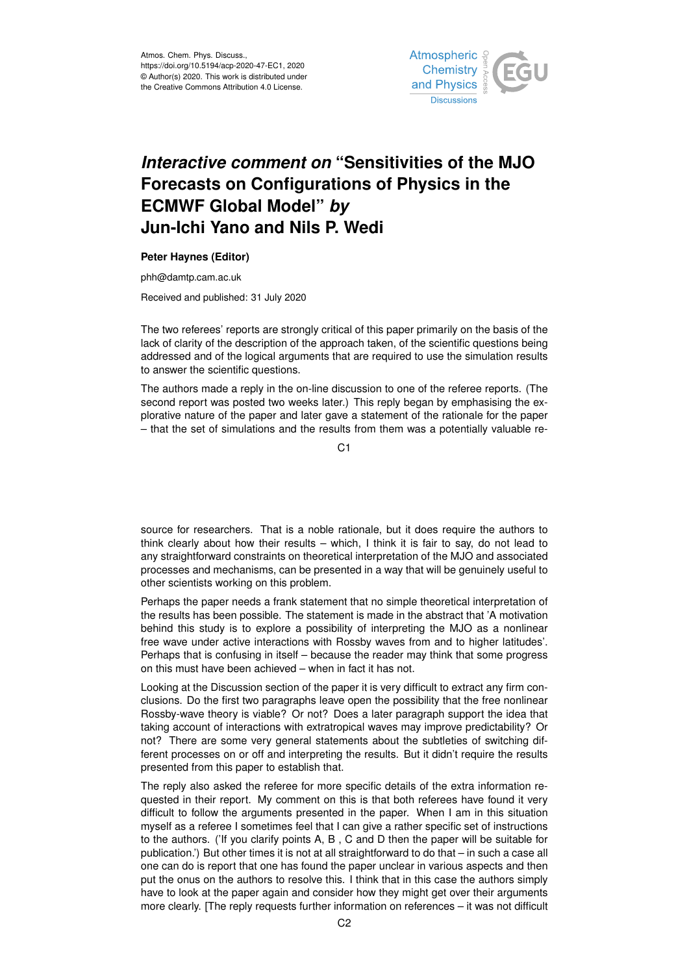

## *Interactive comment on* **"Sensitivities of the MJO Forecasts on Configurations of Physics in the ECMWF Global Model"** *by* **Jun-Ichi Yano and Nils P. Wedi**

## **Peter Haynes (Editor)**

phh@damtp.cam.ac.uk

Received and published: 31 July 2020

The two referees' reports are strongly critical of this paper primarily on the basis of the lack of clarity of the description of the approach taken, of the scientific questions being addressed and of the logical arguments that are required to use the simulation results to answer the scientific questions.

The authors made a reply in the on-line discussion to one of the referee reports. (The second report was posted two weeks later.) This reply began by emphasising the explorative nature of the paper and later gave a statement of the rationale for the paper – that the set of simulations and the results from them was a potentially valuable re-

C<sub>1</sub>

source for researchers. That is a noble rationale, but it does require the authors to think clearly about how their results – which, I think it is fair to say, do not lead to any straightforward constraints on theoretical interpretation of the MJO and associated processes and mechanisms, can be presented in a way that will be genuinely useful to other scientists working on this problem.

Perhaps the paper needs a frank statement that no simple theoretical interpretation of the results has been possible. The statement is made in the abstract that 'A motivation behind this study is to explore a possibility of interpreting the MJO as a nonlinear free wave under active interactions with Rossby waves from and to higher latitudes'. Perhaps that is confusing in itself – because the reader may think that some progress on this must have been achieved – when in fact it has not.

Looking at the Discussion section of the paper it is very difficult to extract any firm conclusions. Do the first two paragraphs leave open the possibility that the free nonlinear Rossby-wave theory is viable? Or not? Does a later paragraph support the idea that taking account of interactions with extratropical waves may improve predictability? Or not? There are some very general statements about the subtleties of switching different processes on or off and interpreting the results. But it didn't require the results presented from this paper to establish that.

The reply also asked the referee for more specific details of the extra information requested in their report. My comment on this is that both referees have found it very difficult to follow the arguments presented in the paper. When I am in this situation myself as a referee I sometimes feel that I can give a rather specific set of instructions to the authors. ('If you clarify points A, B , C and D then the paper will be suitable for publication.') But other times it is not at all straightforward to do that – in such a case all one can do is report that one has found the paper unclear in various aspects and then put the onus on the authors to resolve this. I think that in this case the authors simply have to look at the paper again and consider how they might get over their arguments more clearly. [The reply requests further information on references – it was not difficult